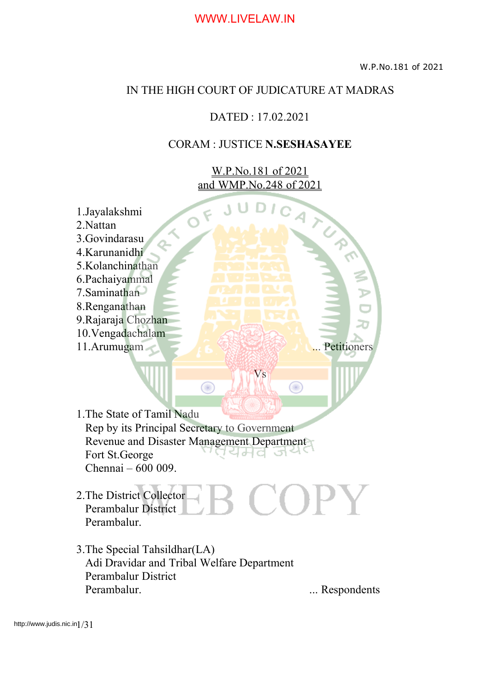#### IN THE HIGH COURT OF JUDICATURE AT MADRAS

#### DATED : 17.02.2021

#### CORAM : JUSTICE **N.SESHASAYEE**

W.P.No.181 of 2021 and WMP.No.248 of 2021

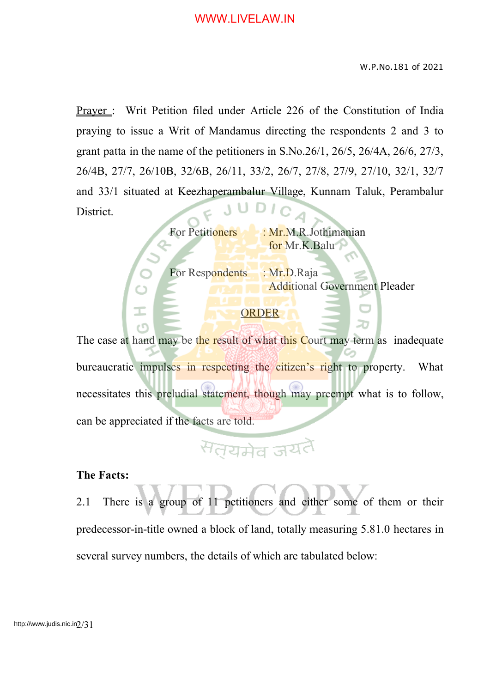W.P.No.181 of 2021

Prayer : Writ Petition filed under Article 226 of the Constitution of India praying to issue a Writ of Mandamus directing the respondents 2 and 3 to grant patta in the name of the petitioners in S.No.26/1, 26/5, 26/4A, 26/6, 27/3, 26/4B, 27/7, 26/10B, 32/6B, 26/11, 33/2, 26/7, 27/8, 27/9, 27/10, 32/1, 32/7 and 33/1 situated at Keezhaperambalur Village, Kunnam Taluk, Perambalur District.

For Petitioners : Mr.M.R.Jothimanian for Mr.K.Balu

For Respondents : Mr.D.Raja

Additional Government Pleader

#### ORDER

The case at hand may be the result of what this Court may term as inadequate bureaucratic impulses in respecting the citizen's right to property. What necessitates this preludial statement, though may preempt what is to follow, can be appreciated if the facts are told.

# सतयमेव जयतै

#### **The Facts:**

2.1 There is a group of 11 petitioners and either some of them or their predecessor-in-title owned a block of land, totally measuring 5.81.0 hectares in several survey numbers, the details of which are tabulated below: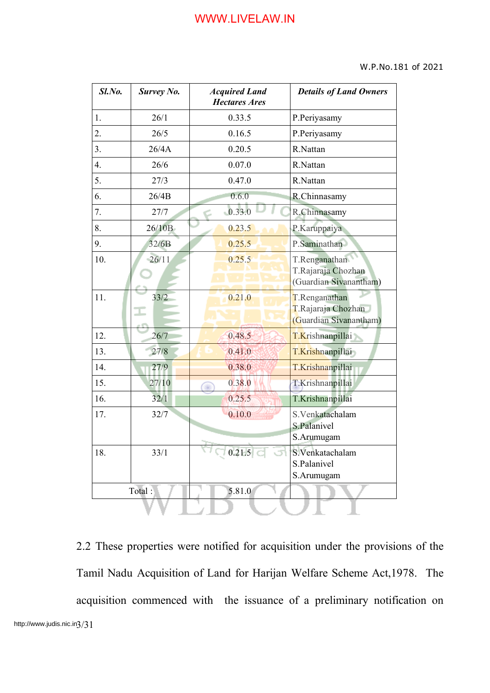#### W.P.No.181 of 2021

| Sl.No. | <b>Survey No.</b> | <b>Acquired Land</b><br><b>Hectares Ares</b> | <b>Details of Land Owners</b>                                 |  |
|--------|-------------------|----------------------------------------------|---------------------------------------------------------------|--|
| 1.     | 26/1              | 0.33.5                                       | P.Periyasamy                                                  |  |
| 2.     | 26/5              | 0.16.5                                       | P.Periyasamy                                                  |  |
| 3.     | 26/4A             | 0.20.5                                       | R.Nattan                                                      |  |
| 4.     | 26/6              | 0.07.0                                       | R.Nattan                                                      |  |
| 5.     | 27/3              | 0.47.0                                       | R.Nattan                                                      |  |
| 6.     | 26/4B             | 0.6.0                                        | R.Chinnasamy                                                  |  |
| 7.     | 27/7              | 0.33.0                                       | R.Chinnasamy                                                  |  |
| 8.     | 26/10B            | 0.23.5                                       | P.Karuppaiya                                                  |  |
| 9.     | 32/6B             | 0.25.5                                       | P.Saminathan                                                  |  |
| 10.    | 26/11             | 0.25.5                                       | T.Renganathan<br>T.Rajaraja Chozhan<br>(Guardian Sivanantham) |  |
| 11.    | 33/2              | 0.21.0                                       | T.Renganathan<br>T.Rajaraja Chozhan<br>(Guardian Sivanantham) |  |
| 12.    | 26/7              | 0.48.5                                       | T.Krishnanpillai                                              |  |
| 13.    | 27/8              | 0.41.0                                       | T.Krishnanpillai                                              |  |
| 14.    | 27/9              | 0.38.0                                       | T.Krishnanpillai                                              |  |
| 15.    | 27/10             | 0.38.0                                       | T.Krishnanpillai                                              |  |
| 16.    | 32/1              | 0.25.5                                       | T.Krishnanpillai                                              |  |
| 17.    | 32/7              | 0.10.0                                       | S.Venkatachalam<br>S.Palanivel<br>S.Arumugam                  |  |
| 18.    | 33/1              | ্ 0.215   া া                                | S.Venkatachalam<br>S.Palanivel<br>S.Arumugam                  |  |
| Total: |                   | 5.81.0                                       |                                                               |  |
|        |                   |                                              |                                                               |  |

2.2 These properties were notified for acquisition under the provisions of the Tamil Nadu Acquisition of Land for Harijan Welfare Scheme Act,1978. The acquisition commenced with the issuance of a preliminary notification on http://www.judis.nic.in3/31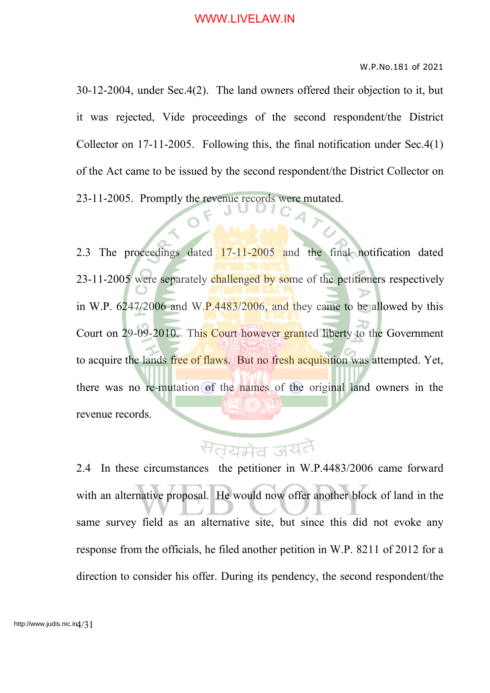#### W.P.No.181 of 2021

30-12-2004, under Sec.4(2). The land owners offered their objection to it, but it was rejected, Vide proceedings of the second respondent/the District Collector on 17-11-2005. Following this, the final notification under Sec.4(1) of the Act came to be issued by the second respondent/the District Collector on 23-11-2005. Promptly the revenue records were mutated.

2.3 The proceedings dated 17-11-2005 and the final notification dated 23-11-2005 were separately challenged by some of the petitioners respectively in W.P.  $6247/2006$  and W.P.4483/2006, and they came to be allowed by this Court on 29-09-2010. This Court however granted liberty to the Government to acquire the lands free of flaws. But no fresh acquisition was attempted. Yet, there was no re-mutation of the names of the original land owners in the revenue records.

## <sup>स</sup>त्यमेव ज

2.4 In these circumstances the petitioner in W.P.4483/2006 came forward with an alternative proposal. He would now offer another block of land in the same survey field as an alternative site, but since this did not evoke any response from the officials, he filed another petition in W.P. 8211 of 2012 for a direction to consider his offer. During its pendency, the second respondent/the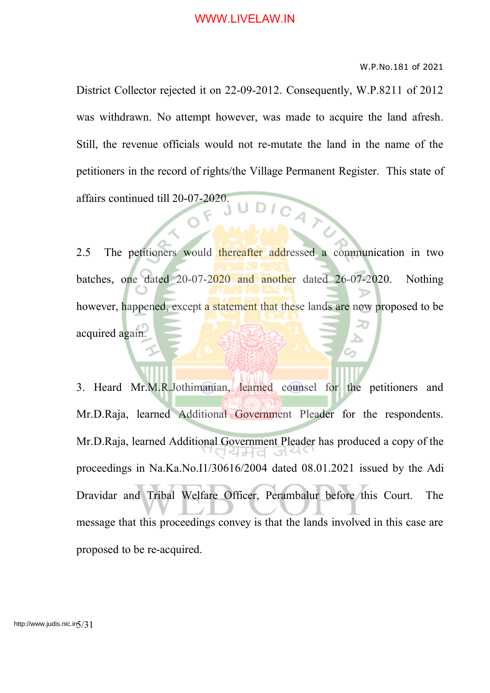#### W.P.No.181 of 2021

District Collector rejected it on 22-09-2012. Consequently, W.P.8211 of 2012 was withdrawn. No attempt however, was made to acquire the land afresh. Still, the revenue officials would not re-mutate the land in the name of the petitioners in the record of rights/the Village Permanent Register. This state of affairs continued till 20-07-2020.

2.5 The petitioners would thereafter addressed a communication in two batches, one dated 20-07-2020 and another dated 26-07-2020. Nothing however, happened, except a statement that these lands are now proposed to be acquired again.

3. Heard Mr.M.R.Jothimanian, learned counsel for the petitioners and Mr.D.Raja, learned Additional Government Pleader for the respondents. Mr.D.Raja, learned Additional Government Pleader has produced a copy of the proceedings in Na.Ka.No.I1/30616/2004 dated 08.01.2021 issued by the Adi Dravidar and Tribal Welfare Officer, Perambalur before this Court. The message that this proceedings convey is that the lands involved in this case are proposed to be re-acquired.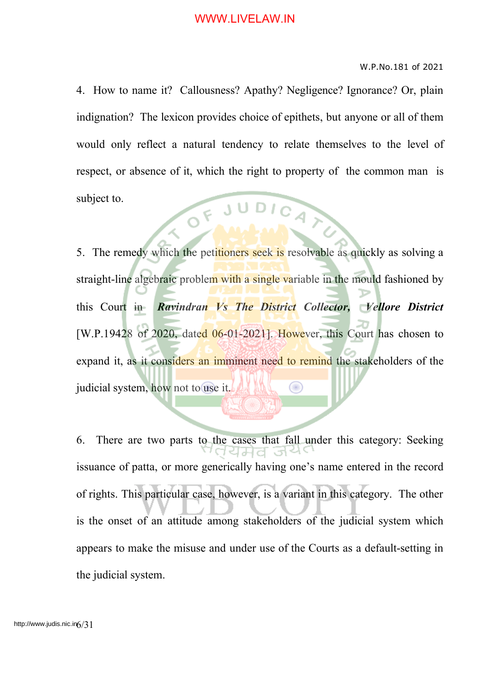#### W.P.No.181 of 2021

4. How to name it? Callousness? Apathy? Negligence? Ignorance? Or, plain indignation? The lexicon provides choice of epithets, but anyone or all of them would only reflect a natural tendency to relate themselves to the level of respect, or absence of it, which the right to property of the common man is subject to. OF JUDICATO

5. The remedy which the petitioners seek is resolvable as quickly as solving a straight-line algebraic problem with a single variable in the mould fashioned by this Court in *Ravindran Vs The District Collector, Vellore District* [W.P.19428 of 2020, dated 06-01-2021]. However, this Court has chosen to expand it, as it considers an imminent need to remind the stakeholders of the judicial system, how not to use it.

6. There are two parts to the cases that fall under this category: Seeking 1੫ਸਰ issuance of patta, or more generically having one's name entered in the record of rights. This particular case, however, is a variant in this category. The other is the onset of an attitude among stakeholders of the judicial system which appears to make the misuse and under use of the Courts as a default-setting in the judicial system.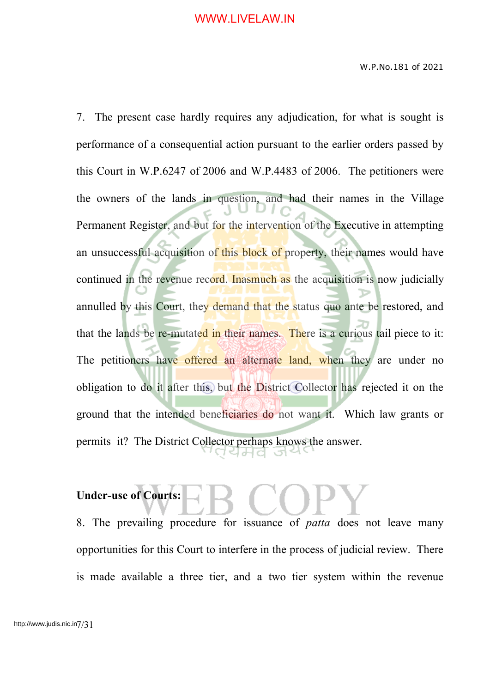7. The present case hardly requires any adjudication, for what is sought is performance of a consequential action pursuant to the earlier orders passed by this Court in W.P.6247 of 2006 and W.P.4483 of 2006. The petitioners were the owners of the lands in question, and had their names in the Village Permanent Register, and but for the intervention of the Executive in attempting an unsuccessful acquisition of this block of property, their names would have continued in the revenue record. Inasmuch as the acquisition is now judicially annulled by this Court, they demand that the status quo ante be restored, and that the lands be re-mutated in their names. There is a curious tail piece to it: The petitioners have offered an alternate land, when they are under no obligation to do it after this, but the District Collector has rejected it on the ground that the intended beneficiaries do not want it. Which law grants or permits it? The District Collector perhaps knows the answer. 서서의

# **Under-use of Courts:**

8. The prevailing procedure for issuance of *patta* does not leave many opportunities for this Court to interfere in the process of judicial review. There is made available a three tier, and a two tier system within the revenue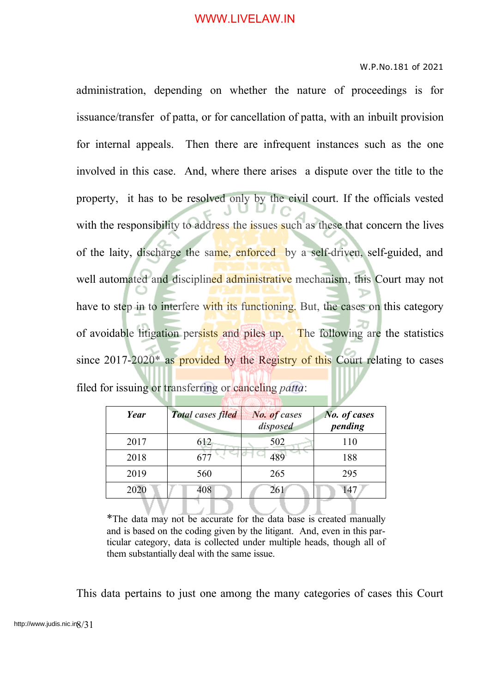#### W.P.No.181 of 2021

administration, depending on whether the nature of proceedings is for issuance/transfer of patta, or for cancellation of patta, with an inbuilt provision for internal appeals. Then there are infrequent instances such as the one involved in this case. And, where there arises a dispute over the title to the property, it has to be resolved only by the civil court. If the officials vested with the responsibility to address the issues such as these that concern the lives of the laity, discharge the same, enforced by a self-driven, self-guided, and well automated and disciplined administrative mechanism, this Court may not have to step in to interfere with its functioning. But, the cases on this category of avoidable litigation persists and piles up. The following are the statistics since 2017-2020<sup>\*</sup> as provided by the Registry of this Court relating to cases filed for issuing or transferring or canceling *patta*:

| Year | <b>Total cases filed</b> | <b>No. of cases</b><br>disposed | No. of cases<br>pending |
|------|--------------------------|---------------------------------|-------------------------|
| 2017 | 612                      | 502                             | 110                     |
| 2018 |                          |                                 | 188                     |
| 2019 | 560                      | 265                             | 295                     |
| 2020 | 408                      | 261                             |                         |

\*The data may not be accurate for the data base is created manually and is based on the coding given by the litigant. And, even in this particular category, data is collected under multiple heads, though all of them substantially deal with the same issue.

This data pertains to just one among the many categories of cases this Court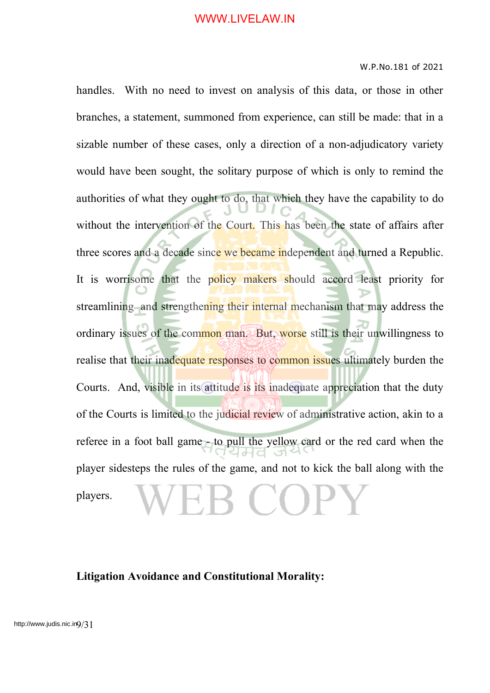#### W.P.No.181 of 2021

handles. With no need to invest on analysis of this data, or those in other branches, a statement, summoned from experience, can still be made: that in a sizable number of these cases, only a direction of a non-adjudicatory variety would have been sought, the solitary purpose of which is only to remind the authorities of what they ought to do, that which they have the capability to do without the intervention of the Court. This has been the state of affairs after three scores and a decade since we became independent and turned a Republic. It is worrisome that the policy makers should accord least priority for streamlining and strengthening their internal mechanism that may address the ordinary issues of the common man. But, worse still is their unwillingness to realise that their inadequate responses to common issues ultimately burden the Courts. And, visible in its attitude is its inadequate appreciation that the duty of the Courts is limited to the judicial review of administrative action, akin to a referee in a foot ball game - to pull the yellow card or the red card when the player sidesteps the rules of the game, and not to kick the ball along with the  $\bigcap$  ( ) ]: players.

#### **Litigation Avoidance and Constitutional Morality:**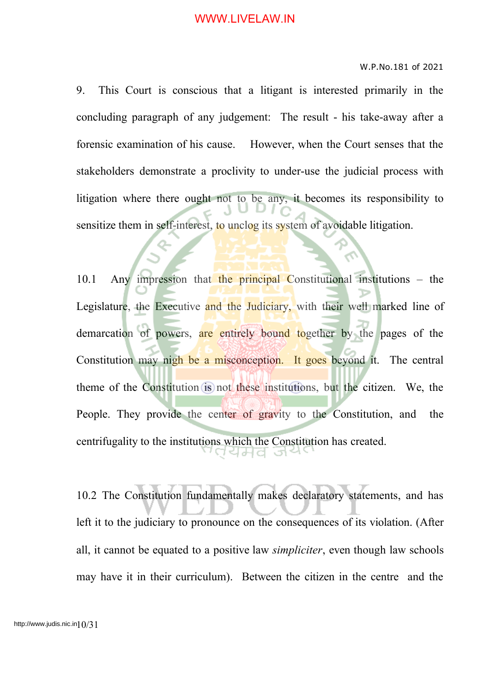#### W.P.No.181 of 2021

9. This Court is conscious that a litigant is interested primarily in the concluding paragraph of any judgement: The result - his take-away after a forensic examination of his cause. However, when the Court senses that the stakeholders demonstrate a proclivity to under-use the judicial process with litigation where there ought not to be any, it becomes its responsibility to sensitize them in self-interest, to unclog its system of avoidable litigation.

10.1 Any impression that the principal Constitutional institutions – the Legislature, the Executive and the Judiciary, with their well marked line of demarcation of powers, are entirely bound together by the pages of the Constitution may nigh be a misconception. It goes beyond it. The central theme of the Constitution is not these institutions, but the citizen. We, the People. They provide the center of gravity to the Constitution, and the centrifugality to the institutions which the Constitution has created. ਖਮਰ

10.2 The Constitution fundamentally makes declaratory statements, and has left it to the judiciary to pronounce on the consequences of its violation. (After all, it cannot be equated to a positive law *simpliciter*, even though law schools may have it in their curriculum). Between the citizen in the centre and the

http://www.judis.nic.in $10/31$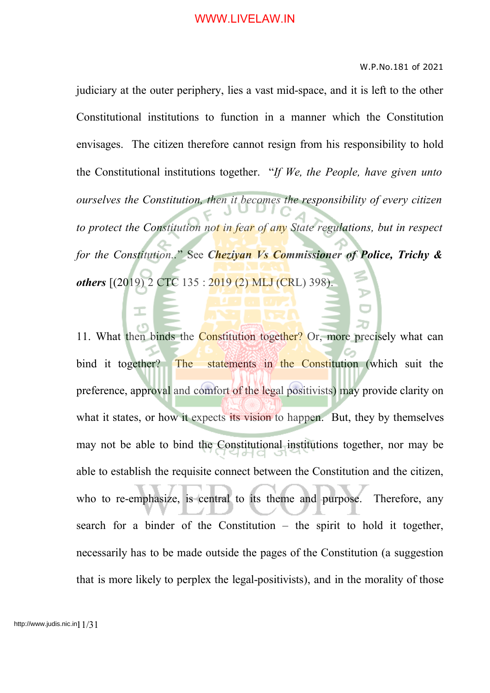W.P.No.181 of 2021

judiciary at the outer periphery, lies a vast mid-space, and it is left to the other Constitutional institutions to function in a manner which the Constitution envisages. The citizen therefore cannot resign from his responsibility to hold the Constitutional institutions together. "*If We, the People, have given unto ourselves the Constitution, then it becomes the responsibility of every citizen to protect the Constitution not in fear of any State regulations, but in respect for the Constitution..*" See *Cheziyan Vs Commissioner of Police, Trichy & others* [(2019) 2 CTC 135 : 2019 (2) MLJ (CRL) 398).

11. What then binds the Constitution together? Or, more precisely what can bind it together? The statements in the Constitution (which suit the preference, approval and comfort of the legal positivists) may provide clarity on what it states, or how it expects its vision to happen. But, they by themselves may not be able to bind the Constitutional institutions together, nor may be able to establish the requisite connect between the Constitution and the citizen, who to re-emphasize, is central to its theme and purpose. Therefore, any search for a binder of the Constitution – the spirit to hold it together, necessarily has to be made outside the pages of the Constitution (a suggestion that is more likely to perplex the legal-positivists), and in the morality of those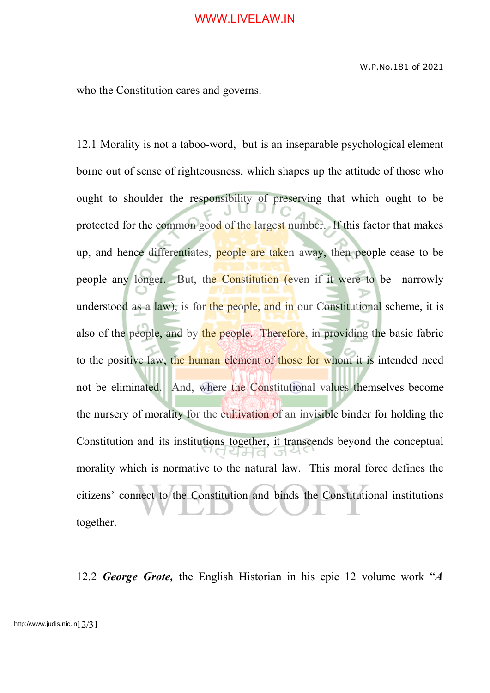who the Constitution cares and governs.

12.1 Morality is not a taboo-word, but is an inseparable psychological element borne out of sense of righteousness, which shapes up the attitude of those who ought to shoulder the responsibility of preserving that which ought to be protected for the common good of the largest number. If this factor that makes up, and hence differentiates, people are taken away, then people cease to be people any longer. But, the Constitution (even if it were to be narrowly understood as a law), is for the people, and in our Constitutional scheme, it is also of the people, and by the people. Therefore, in providing the basic fabric to the positive law, the human element of those for whom it is intended need not be eliminated. And, where the Constitutional values themselves become the nursery of morality for the cultivation of an invisible binder for holding the Constitution and its institutions together, it transcends beyond the conceptual morality which is normative to the natural law. This moral force defines the citizens' connect to the Constitution and binds the Constitutional institutions together.

12.2 *George Grote,* the English Historian in his epic 12 volume work "*A*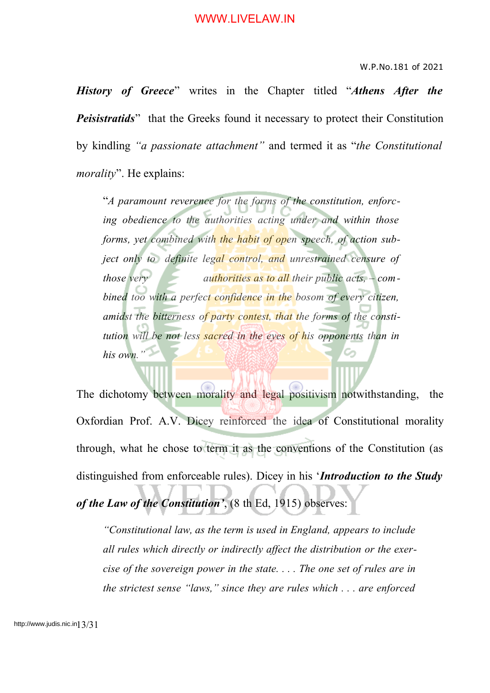#### W.P.No.181 of 2021

*History of Greece*" writes in the Chapter titled "*Athens After the Peisistratids*" that the Greeks found it necessary to protect their Constitution by kindling *"a passionate attachment"* and termed it as "*the Constitutional morality*". He explains:

"*A paramount reverence for the forms of the constitution, enforcing obedience to the authorities acting under and within those forms, yet combined with the habit of open speech, of action subject only to definite legal control, and unrestrained censure of those very authorities as to all their public acts, – combined too with a perfect confidence in the bosom of every citizen, amidst the bitterness of party contest, that the forms of the constitution will be not less sacred in the eyes of his opponents than in his own."*

The dichotomy between morality and legal positivism notwithstanding, the Oxfordian Prof. A.V. Dicey reinforced the idea of Constitutional morality through, what he chose to term it as the conventions of the Constitution (as distinguished from enforceable rules). Dicey in his '*Introduction to the Study of the Law of the Constitution'*, (8 th Ed, 1915) observes:

*"Constitutional law, as the term is used in England, appears to include all rules which directly or indirectly affect the distribution or the exercise of the sovereign power in the state. . . . The one set of rules are in the strictest sense "laws," since they are rules which . . . are enforced*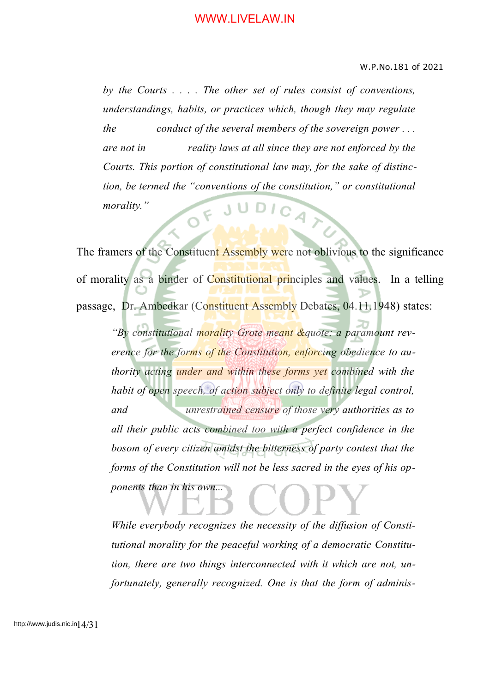*by the Courts . . . . The other set of rules consist of conventions, understandings, habits, or practices which, though they may regulate the conduct of the several members of the sovereign power . . . are not in reality laws at all since they are not enforced by the Courts. This portion of constitutional law may, for the sake of distinction, be termed the "conventions of the constitution," or constitutional*  $O F J U$ DIGATE *morality."*

The framers of the Constituent Assembly were not oblivious to the significance of morality as a binder of Constitutional principles and values. In a telling passage, Dr. Ambedkar (Constituent Assembly Debates, 04.11.1948) states:

*"By constitutional morality Grote meant &quote; a paramount reverence for the forms of the Constitution, enforcing obedience to authority acting under and within these forms yet combined with the habit of open speech, of action subject only to definite legal control, and unrestrained censure of those very authorities as to all their public acts combined too with a perfect confidence in the bosom of every citizen amidst the bitterness of party contest that the forms of the Constitution will not be less sacred in the eyes of his opponents than in his own...*

*While everybody recognizes the necessity of the diffusion of Constitutional morality for the peaceful working of a democratic Constitution, there are two things interconnected with it which are not, unfortunately, generally recognized. One is that the form of adminis-*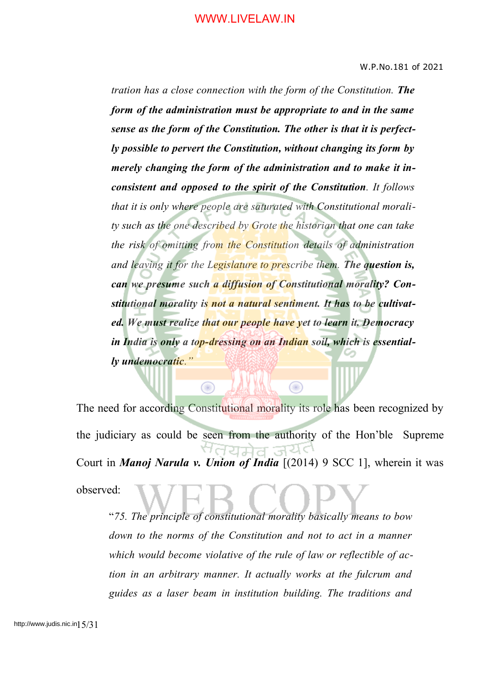*tration has a close connection with the form of the Constitution. The form of the administration must be appropriate to and in the same sense as the form of the Constitution. The other is that it is perfectly possible to pervert the Constitution, without changing its form by merely changing the form of the administration and to make it inconsistent and opposed to the spirit of the Constitution. It follows that it is only where people are saturated with Constitutional morality such as the one described by Grote the historian that one can take the risk of omitting from the Constitution details of administration and leaving it for the Legislature to prescribe them. The question is, can we presume such a diffusion of Constitutional morality? Constitutional morality is not a natural sentiment. It has to be cultivated. We must realize that our people have yet to learn it. Democracy in India is only a top-dressing on an Indian soil, which is essentially undemocratic."*

The need for according Constitutional morality its role has been recognized by the judiciary as could be seen from the authority of the Hon'ble Supreme Court in *Manoj Narula v. Union of India* [(2014) 9 SCC 1], wherein it was observed:

⊜

⋒

"*75. The principle of constitutional morality basically means to bow down to the norms of the Constitution and not to act in a manner which would become violative of the rule of law or reflectible of action in an arbitrary manner. It actually works at the fulcrum and guides as a laser beam in institution building. The traditions and*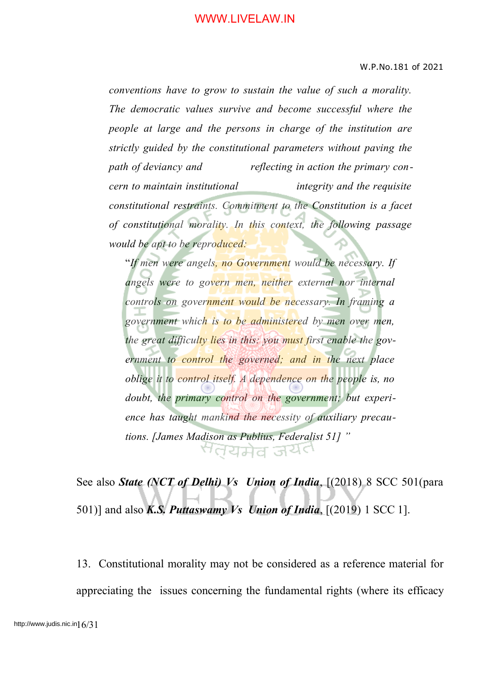*conventions have to grow to sustain the value of such a morality. The democratic values survive and become successful where the people at large and the persons in charge of the institution are strictly guided by the constitutional parameters without paving the path of deviancy and reflecting in action the primary concern to maintain institutional integrity and the requisite constitutional restraints. Commitment to the Constitution is a facet of constitutional morality. In this context, the following passage would be apt to be reproduced:*

"*If men were angels, no Government would be necessary. If angels were to govern men, neither external nor internal controls on government would be necessary. In framing a government which is to be administered by men over men, the great difficulty lies in this: you must first enable the government to control the governed; and in the next place oblige it to control itself. A dependence on the people is, no doubt, the primary control on the government; but experience has taught mankind the necessity of auxiliary precautions. [James Madison as Publius, Federalist 51] "* सतयमेव जयंत

See also *State (NCT of Delhi) Vs Union of India*, [(2018) 8 SCC 501(para 501)] and also *K.S. Puttaswamy Vs Union of India*, [(2019) 1 SCC 1].

13. Constitutional morality may not be considered as a reference material for appreciating the issues concerning the fundamental rights (where its efficacy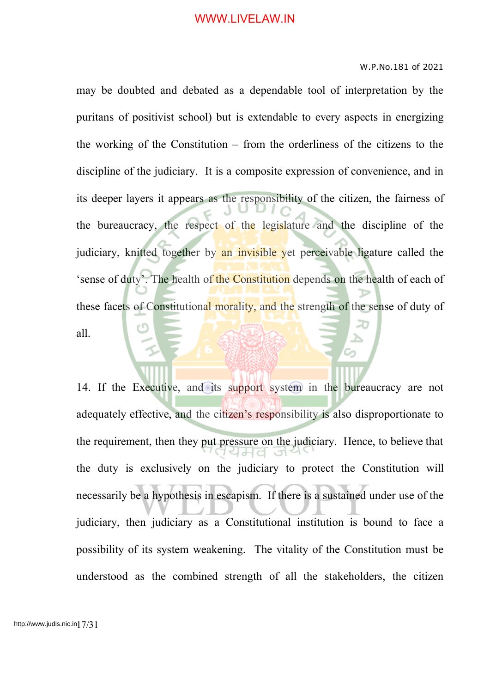#### W.P.No.181 of 2021

may be doubted and debated as a dependable tool of interpretation by the puritans of positivist school) but is extendable to every aspects in energizing the working of the Constitution – from the orderliness of the citizens to the discipline of the judiciary. It is a composite expression of convenience, and in its deeper layers it appears as the responsibility of the citizen, the fairness of the bureaucracy, the respect of the legislature and the discipline of the judiciary, knitted together by an invisible yet perceivable ligature called the 'sense of duty'. The health of the Constitution depends on the health of each of these facets of Constitutional morality, and the strength of the sense of duty of all.

14. If the Executive, and its support system in the bureaucracy are not adequately effective, and the citizen's responsibility is also disproportionate to the requirement, then they put pressure on the judiciary. Hence, to believe that the duty is exclusively on the judiciary to protect the Constitution will necessarily be a hypothesis in escapism. If there is a sustained under use of the judiciary, then judiciary as a Constitutional institution is bound to face a possibility of its system weakening. The vitality of the Constitution must be understood as the combined strength of all the stakeholders, the citizen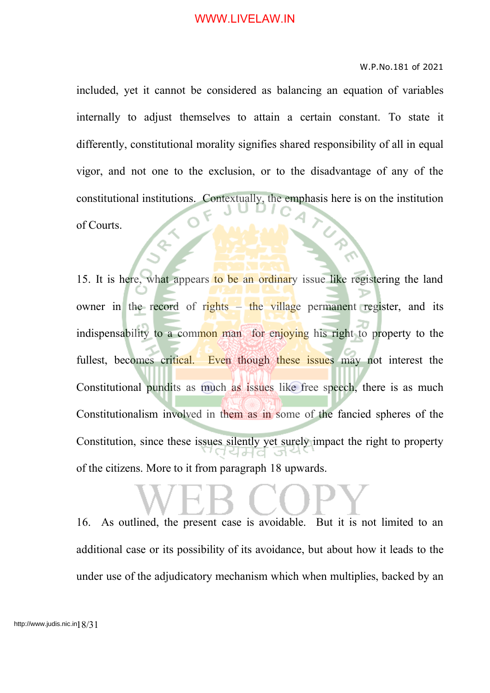#### W.P.No.181 of 2021

included, yet it cannot be considered as balancing an equation of variables internally to adjust themselves to attain a certain constant. To state it differently, constitutional morality signifies shared responsibility of all in equal vigor, and not one to the exclusion, or to the disadvantage of any of the constitutional institutions. Contextually, the emphasis here is on the institution of Courts.

15. It is here, what appears to be an ordinary issue like registering the land owner in the record of rights  $-$  the village permanent register, and its indispensability to a common man for enjoying his right to property to the fullest, becomes critical. Even though these issues may not interest the Constitutional pundits as much as issues like free speech, there is as much Constitutionalism involved in them as in some of the fancied spheres of the Constitution, since these issues silently yet surely impact the right to property of the citizens. More to it from paragraph 18 upwards.

16. As outlined, the present case is avoidable. But it is not limited to an additional case or its possibility of its avoidance, but about how it leads to the under use of the adjudicatory mechanism which when multiplies, backed by an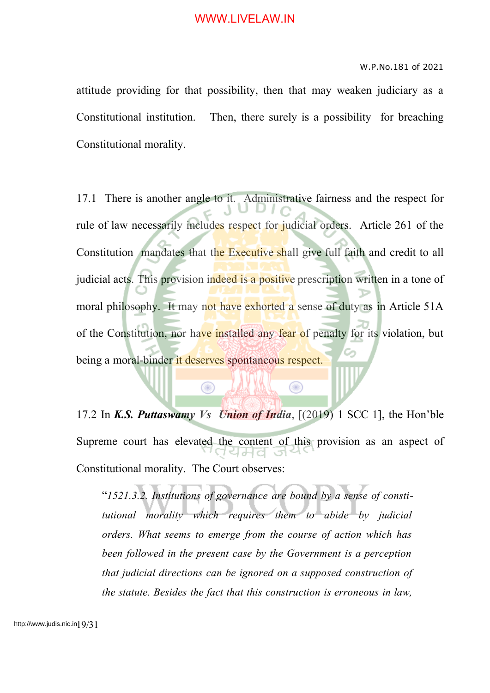#### W.P.No.181 of 2021

attitude providing for that possibility, then that may weaken judiciary as a Constitutional institution. Then, there surely is a possibility for breaching Constitutional morality.

17.1 There is another angle to it. Administrative fairness and the respect for rule of law necessarily includes respect for judicial orders. Article 261 of the Constitution mandates that the Executive shall give full faith and credit to all judicial acts. This provision indeed is a positive prescription written in a tone of moral philosophy. It may not have exhorted a sense of duty as in Article 51A of the Constitution, nor have installed any fear of penalty for its violation, but being a moral-binder it deserves spontaneous respect.

17.2 In *K.S. Puttaswamy Vs Union of India*, [(2019) 1 SCC 1], the Hon'ble Supreme court has elevated the content of this provision as an aspect of Constitutional morality. The Court observes:

 $\bigcirc$ 

 $\bigcirc$ 

"*1521.3.2. Institutions of governance are bound by a sense of constitutional morality which requires them to abide by judicial orders. What seems to emerge from the course of action which has been followed in the present case by the Government is a perception that judicial directions can be ignored on a supposed construction of the statute. Besides the fact that this construction is erroneous in law,*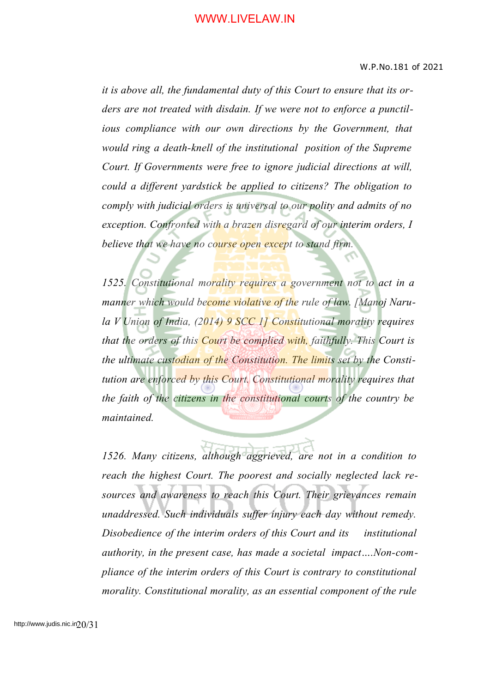*it is above all, the fundamental duty of this Court to ensure that its orders are not treated with disdain. If we were not to enforce a punctilious compliance with our own directions by the Government, that would ring a death-knell of the institutional position of the Supreme Court. If Governments were free to ignore judicial directions at will, could a different yardstick be applied to citizens? The obligation to comply with judicial orders is universal to our polity and admits of no exception. Confronted with a brazen disregard of our interim orders, I believe that we have no course open except to stand firm.*

*1525. Constitutional morality requires a government not to act in a manner which would become violative of the rule of law. [Manoj Narula V Union of India, (2014) 9 SCC 1] Constitutional morality requires that the orders of this Court be complied with, faithfully. This Court is the ultimate custodian of the Constitution. The limits set by the Constitution are enforced by this Court. Constitutional morality requires that the faith of the citizens in the constitutional courts of the country be maintained.*

*1526. Many citizens, although aggrieved, are not in a condition to reach the highest Court. The poorest and socially neglected lack resources and awareness to reach this Court. Their grievances remain unaddressed. Such individuals suffer injury each day without remedy. Disobedience of the interim orders of this Court and its institutional authority, in the present case, has made a societal impact….Non-compliance of the interim orders of this Court is contrary to constitutional morality. Constitutional morality, as an essential component of the rule*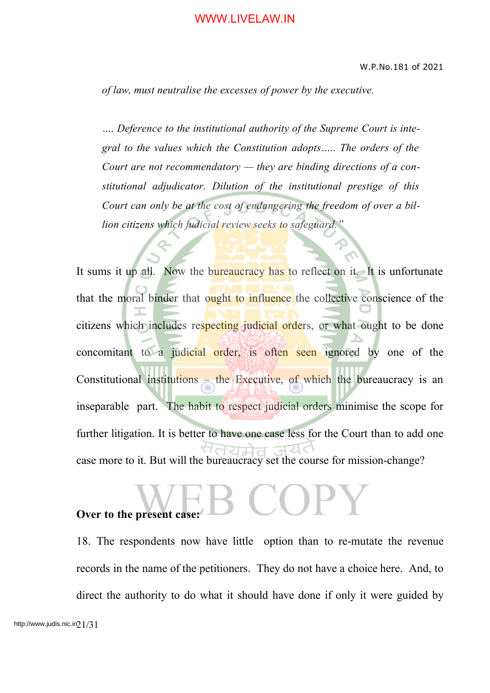*of law, must neutralise the excesses of power by the executive.*

*…. Deference to the institutional authority of the Supreme Court is integral to the values which the Constitution adopts….. The orders of the Court are not recommendatory — they are binding directions of a constitutional adjudicator. Dilution of the institutional prestige of this Court can only be at the cost of endangering the freedom of over a billion citizens which judicial review seeks to safeguard."*

It sums it up all. Now the bureaucracy has to reflect on it. It is unfortunate that the moral binder that ought to influence the collective conscience of the citizens which includes respecting judicial orders, or what ought to be done concomitant to a judicial order, is often seen ignored by one of the Constitutional institutions – the Executive, of which the bureaucracy is an inseparable part. The habit to respect judicial orders minimise the scope for further litigation. It is better to have one case less for the Court than to add one case more to it. But will the bureaucracy set the course for mission-change?

### **Over to the present case:**

18. The respondents now have little option than to re-mutate the revenue records in the name of the petitioners. They do not have a choice here. And, to direct the authority to do what it should have done if only it were guided by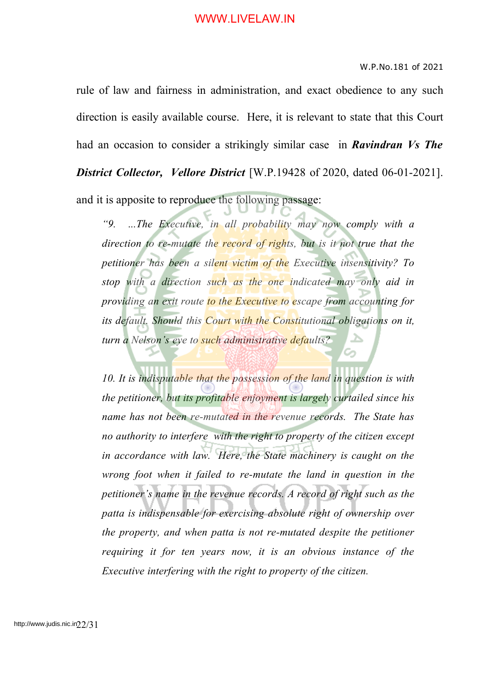#### W.P.No.181 of 2021

rule of law and fairness in administration, and exact obedience to any such direction is easily available course. Here, it is relevant to state that this Court had an occasion to consider a strikingly similar case in *Ravindran Vs The District Collector, Vellore District* [W.P.19428 of 2020, dated 06-01-2021]. and it is apposite to reproduce the following passage:

*"9. ...The Executive, in all probability may now comply with a direction to re-mutate the record of rights, but is it not true that the petitioner has been a silent victim of the Executive insensitivity? To stop with a direction such as the one indicated may only aid in providing an exit route to the Executive to escape from accounting for its default. Should this Court with the Constitutional obligations on it, turn a Nelson's eye to such administrative defaults?*

*10. It is indisputable that the possession of the land in question is with the petitioner, but its profitable enjoyment is largely curtailed since his name has not been re-mutated in the revenue records. The State has no authority to interfere with the right to property of the citizen except in accordance with law. Here, the State machinery is caught on the wrong foot when it failed to re-mutate the land in question in the petitioner's name in the revenue records. A record of right such as the patta is indispensable for exercising absolute right of ownership over the property, and when patta is not re-mutated despite the petitioner requiring it for ten years now, it is an obvious instance of the Executive interfering with the right to property of the citizen.*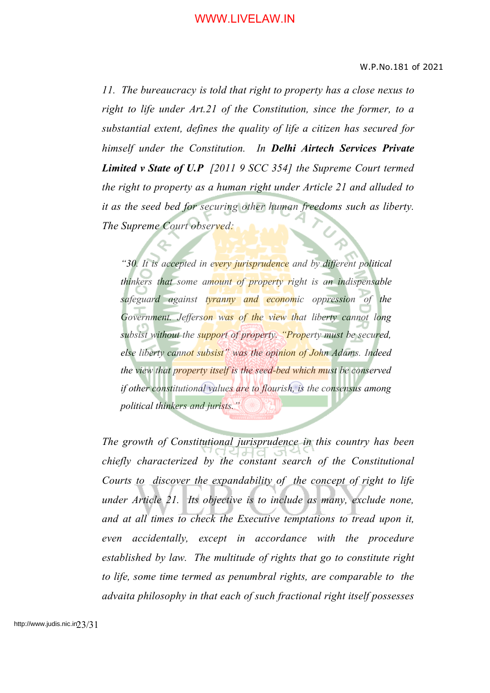*11. The bureaucracy is told that right to property has a close nexus to right to life under Art.21 of the Constitution, since the former, to a substantial extent, defines the quality of life a citizen has secured for himself under the Constitution. In Delhi Airtech Services Private Limited v State of U.P [2011 9 SCC 354] the Supreme Court termed the right to property as a human right under Article 21 and alluded to it as the seed bed for securing other human freedoms such as liberty. The Supreme Court observed:*

*"30. It is accepted in every jurisprudence and by different political thinkers that some amount of property right is an indispensable safeguard against tyranny and economic oppression of the Government. Jefferson was of the view that liberty cannot long subsist without the support of property. "Property must be secured, else liberty cannot subsist" was the opinion of John Adams. Indeed the view that property itself is the seed-bed which must be conserved if other constitutional values are to flourish, is the consensus among political thinkers and jurists."*

*The growth of Constitutional jurisprudence in this country has been chiefly characterized by the constant search of the Constitutional Courts to discover the expandability of the concept of right to life under Article 21. Its objective is to include as many, exclude none, and at all times to check the Executive temptations to tread upon it, even accidentally, except in accordance with the procedure established by law. The multitude of rights that go to constitute right to life, some time termed as penumbral rights, are comparable to the advaita philosophy in that each of such fractional right itself possesses*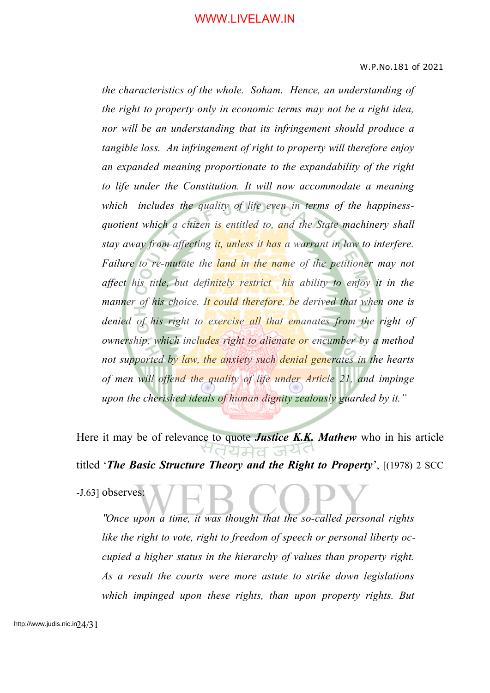*the characteristics of the whole. Soham. Hence, an understanding of the right to property only in economic terms may not be a right idea, nor will be an understanding that its infringement should produce a tangible loss. An infringement of right to property will therefore enjoy an expanded meaning proportionate to the expandability of the right to life under the Constitution. It will now accommodate a meaning which includes the quality of life even in terms of the happinessquotient which a citizen is entitled to, and the State machinery shall stay away from affecting it, unless it has a warrant in law to interfere. Failure to re-mutate the land in the name of the petitioner may not affect his title, but definitely restrict his ability to enjoy it in the manner of his choice. It could therefore, be derived that when one is denied of his right to exercise all that emanates from the right of ownership, which includes right to alienate or encumber by a method not supported by law, the anxiety such denial generates in the hearts of men will offend the quality of life under Article 21, and impinge upon the cherished ideals of human dignity zealously guarded by it."*

Here it may be of relevance to quote *Justice K.K. Mathew* who in his article 'तयमेत अय titled '*The Basic Structure Theory and the Right to Property*', [(1978) 2 SCC

-J.63] observes:

"*Once upon a time, it was thought that the so-called personal rights like the right to vote, right to freedom of speech or personal liberty occupied a higher status in the hierarchy of values than property right. As a result the courts were more astute to strike down legislations which impinged upon these rights, than upon property rights. But*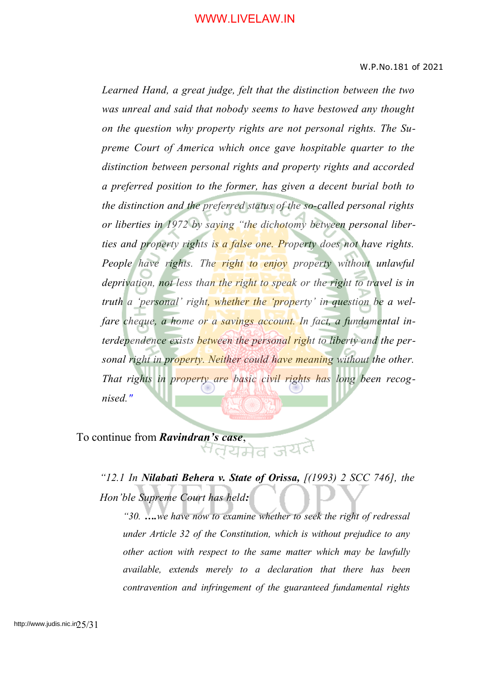*Learned Hand, a great judge, felt that the distinction between the two was unreal and said that nobody seems to have bestowed any thought on the question why property rights are not personal rights. The Supreme Court of America which once gave hospitable quarter to the distinction between personal rights and property rights and accorded a preferred position to the former, has given a decent burial both to the distinction and the preferred status of the so-called personal rights or liberties in 1972 by saying "the dichotomy between personal liberties and property rights is a false one. Property does not have rights. People have rights. The right to enjoy property without unlawful deprivation, not less than the right to speak or the right to travel is in truth a 'personal' right, whether the 'property' in question be a welfare cheque, a home or a savings account. In fact, a fundamental interdependence exists between the personal right to liberty and the personal right in property. Neither could have meaning without the other. That rights in property are basic civil rights has long been recognised."*

To continue from *Ravindran's case*,

*"12.1 In Nilabati Behera v. State of Orissa, [(1993) 2 SCC 746], the Hon'ble Supreme Court has held:*

*"30. ….we have now to examine whether to seek the right of redressal under Article 32 of the Constitution, which is without prejudice to any other action with respect to the same matter which may be lawfully available, extends merely to a declaration that there has been contravention and infringement of the guaranteed fundamental rights*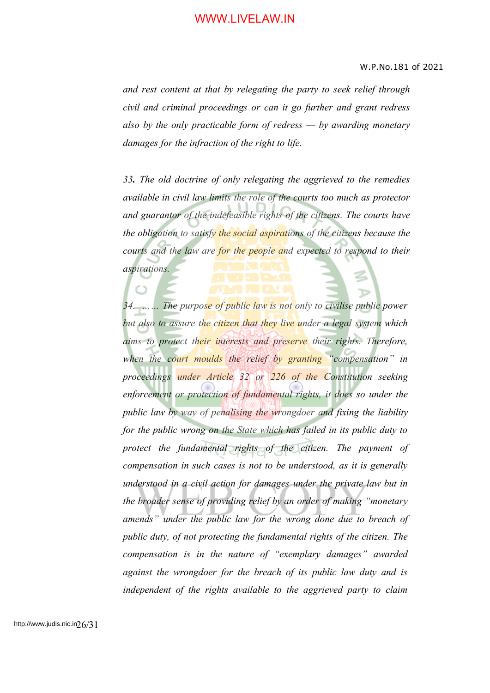*and rest content at that by relegating the party to seek relief through civil and criminal proceedings or can it go further and grant redress also by the only practicable form of redress — by awarding monetary damages for the infraction of the right to life.*

*33. The old doctrine of only relegating the aggrieved to the remedies available in civil law limits the role of the courts too much as protector and guarantor of the indefeasible rights of the citizens. The courts have the obligation to satisfy the social aspirations of the citizens because the courts and the law are for the people and expected to respond to their aspirations.*

*34. …… The purpose of public law is not only to civilise public power but also to assure the citizen that they live under a legal system which aims to protect their interests and preserve their rights. Therefore, when the court moulds the relief by granting "compensation" in proceedings under Article 32 or 226 of the Constitution seeking enforcement or protection of fundamental rights, it does so under the public law by way of penalising the wrongdoer and fixing the liability for the public wrong on the State which has failed in its public duty to protect the fundamental rights of the citizen. The payment of compensation in such cases is not to be understood, as it is generally understood in a civil action for damages under the private law but in the broader sense of providing relief by an order of making "monetary amends" under the public law for the wrong done due to breach of public duty, of not protecting the fundamental rights of the citizen. The compensation is in the nature of "exemplary damages" awarded against the wrongdoer for the breach of its public law duty and is independent of the rights available to the aggrieved party to claim*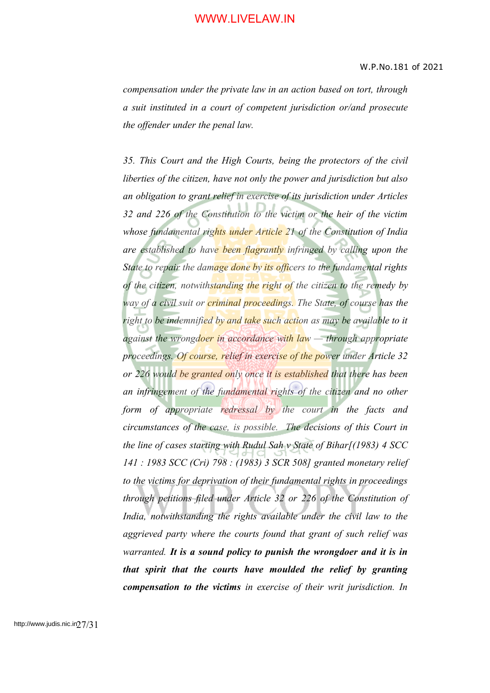*compensation under the private law in an action based on tort, through a suit instituted in a court of competent jurisdiction or/and prosecute the offender under the penal law.*

*35. This Court and the High Courts, being the protectors of the civil liberties of the citizen, have not only the power and jurisdiction but also an obligation to grant relief in exercise of its jurisdiction under Articles 32 and 226 of the Constitution to the victim or the heir of the victim whose fundamental rights under Article 21 of the Constitution of India are established to have been flagrantly infringed by calling upon the State to repair the damage done by its officers to the fundamental rights of the citizen, notwithstanding the right of the citizen to the remedy by way of a civil suit or criminal proceedings. The State, of course has the right to be indemnified by and take such action as may be available to it against the wrongdoer in accordance with law — through appropriate proceedings. Of course, relief in exercise of the power under Article 32 or 226 would be granted only once it is established that there has been an infringement of the fundamental rights of the citizen and no other form of appropriate redressal by the court in the facts and circumstances of the case, is possible. The decisions of this Court in the line of cases starting with Rudul Sah v State of Bihar[(1983) 4 SCC 141 : 1983 SCC (Cri) 798 : (1983) 3 SCR 508] granted monetary relief to the victims for deprivation of their fundamental rights in proceedings through petitions filed under Article 32 or 226 of the Constitution of India, notwithstanding the rights available under the civil law to the aggrieved party where the courts found that grant of such relief was warranted. It is a sound policy to punish the wrongdoer and it is in that spirit that the courts have moulded the relief by granting compensation to the victims in exercise of their writ jurisdiction. In*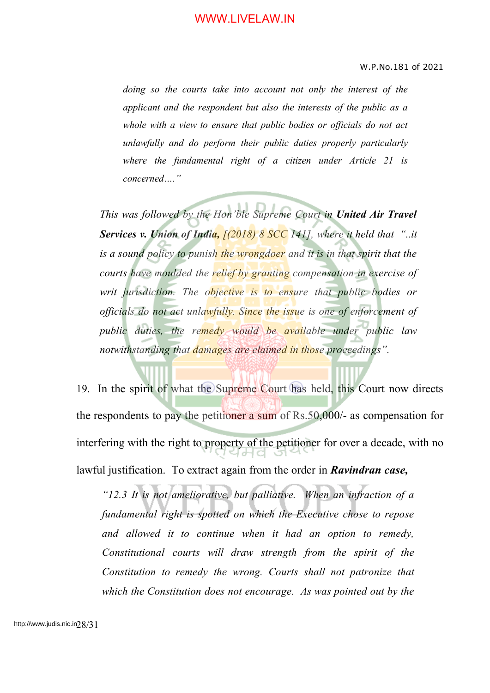*doing so the courts take into account not only the interest of the applicant and the respondent but also the interests of the public as a whole with a view to ensure that public bodies or officials do not act unlawfully and do perform their public duties properly particularly where the fundamental right of a citizen under Article 21 is concerned…."*

*This was followed by the Hon'ble Supreme Court in United Air Travel Services v. Union of India, [(2018) 8 SCC 141], where it held that "..it is a sound policy to punish the wrongdoer and it is in that spirit that the courts have moulded the relief by granting compensation in exercise of writ jurisdiction. The objective is to ensure that public bodies or officials do not act unlawfully. Since the issue is one of enforcement of public duties, the remedy would be available under public law notwithstanding that damages are claimed in those proceedings".*

19. In the spirit of what the Supreme Court has held, this Court now directs the respondents to pay the petitioner a sum of Rs.50,000/- as compensation for interfering with the right to property of the petitioner for over a decade, with no lawful justification. To extract again from the order in *Ravindran case,*

*"12.3 It is not ameliorative, but palliative. When an infraction of a fundamental right is spotted on which the Executive chose to repose and allowed it to continue when it had an option to remedy, Constitutional courts will draw strength from the spirit of the Constitution to remedy the wrong. Courts shall not patronize that which the Constitution does not encourage. As was pointed out by the*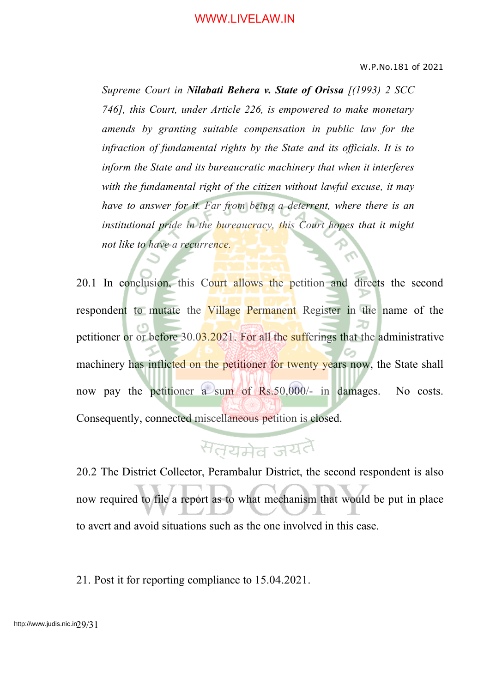*Supreme Court in Nilabati Behera v. State of Orissa [(1993) 2 SCC 746], this Court, under Article 226, is empowered to make monetary amends by granting suitable compensation in public law for the infraction of fundamental rights by the State and its officials. It is to inform the State and its bureaucratic machinery that when it interferes with the fundamental right of the citizen without lawful excuse, it may have to answer for it. Far from being a deterrent, where there is an institutional pride in the bureaucracy, this Court hopes that it might not like to have a recurrence.*

20.1 In conclusion, this Court allows the petition and directs the second respondent to mutate the Village Permanent Register in the name of the petitioner or or before 30.03.2021. For all the sufferings that the administrative machinery has inflicted on the petitioner for twenty years now, the State shall now pay the petitioner a sum of Rs.50,000/- in damages. No costs. Consequently, connected miscellaneous petition is closed.

# सतयमेव जयतै

20.2 The District Collector, Perambalur District, the second respondent is also now required to file a report as to what mechanism that would be put in place to avert and avoid situations such as the one involved in this case.

21. Post it for reporting compliance to 15.04.2021.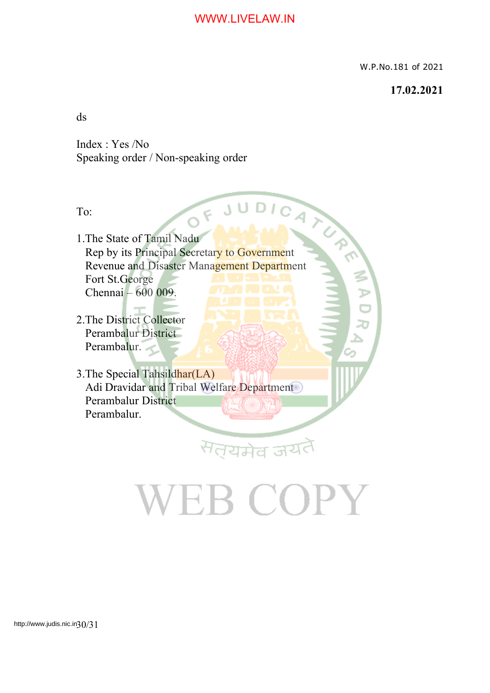W.P.No.181 of 2021

#### **17.02.2021**

ds

Index : Yes /No Speaking order / Non-speaking order

To:

To:<br>1. The State of Tamil Nadu<br>1. Secretary to Government Rep by its Principal Secretary to Government Revenue and Disaster Management Department Fort St.George Chennai – 600 009.

2.The District Collector Perambalur District Perambalur.

3.The Special Tahsildhar(LA) Adi Dravidar and Tribal Welfare Department Perambalur District Perambalur.

# VEB COPY

सत्यमेव जय